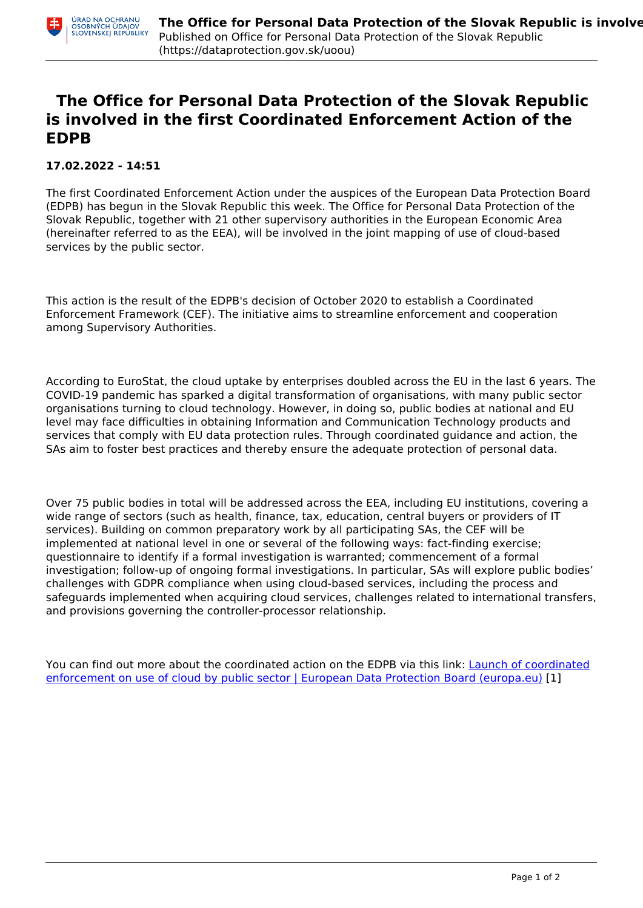## **The Office for Personal Data Protection of the Slovak Republic is involved in the first Coordinated Enforcement Action of the EDPB**

## **17.02.2022 - 14:51**

The first Coordinated Enforcement Action under the auspices of the European Data Protection Board (EDPB) has begun in the Slovak Republic this week. The Office for Personal Data Protection of the Slovak Republic, together with 21 other supervisory authorities in the European Economic Area (hereinafter referred to as the EEA), will be involved in the joint mapping of use of cloud-based services by the public sector.

This action is the result of the EDPB's decision of October 2020 to establish a Coordinated Enforcement Framework (CEF). The initiative aims to streamline enforcement and cooperation among Supervisory Authorities.

According to EuroStat, the cloud uptake by enterprises doubled across the EU in the last 6 years. The COVID-19 pandemic has sparked a digital transformation of organisations, with many public sector organisations turning to cloud technology. However, in doing so, public bodies at national and EU level may face difficulties in obtaining Information and Communication Technology products and services that comply with EU data protection rules. Through coordinated guidance and action, the SAs aim to foster best practices and thereby ensure the adequate protection of personal data.

Over 75 public bodies in total will be addressed across the EEA, including EU institutions, covering a wide range of sectors (such as health, finance, tax, education, central buyers or providers of IT services). Building on common preparatory work by all participating SAs, the CEF will be implemented at national level in one or several of the following ways: fact-finding exercise; questionnaire to identify if a formal investigation is warranted; commencement of a formal investigation; follow-up of ongoing formal investigations. In particular, SAs will explore public bodies' challenges with GDPR compliance when using cloud-based services, including the process and safeguards implemented when acquiring cloud services, challenges related to international transfers, and provisions governing the controller-processor relationship.

You can find out more about the coordinated action on the EDPB via this link: [Launch of coordinated](https://edpb.europa.eu/news/news/2022/launch-coordinated-enforcement-use-cloud-public-sector_en) [enforcement on use of cloud by public sector | European Data Protection Board \(europa.eu\)](https://edpb.europa.eu/news/news/2022/launch-coordinated-enforcement-use-cloud-public-sector_en) [1]